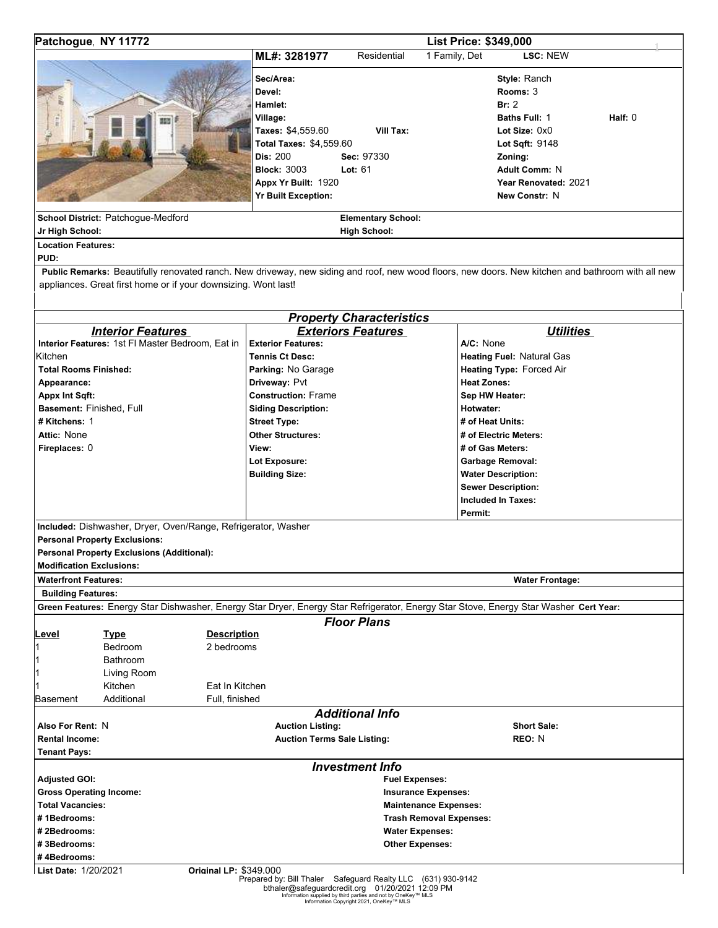| Patchogue, NY 11772                                                                                                                                                                                                 | <b>List Price: \$349,000</b>                                                                                                                                                                              |                                                                                          |                                                                                              |                                                                                                                                                            |           |
|---------------------------------------------------------------------------------------------------------------------------------------------------------------------------------------------------------------------|-----------------------------------------------------------------------------------------------------------------------------------------------------------------------------------------------------------|------------------------------------------------------------------------------------------|----------------------------------------------------------------------------------------------|------------------------------------------------------------------------------------------------------------------------------------------------------------|-----------|
|                                                                                                                                                                                                                     | ML#: 3281977                                                                                                                                                                                              | Residential                                                                              | 1 Family, Det                                                                                | LSC: NEW                                                                                                                                                   |           |
| School District: Patchogue-Medford<br>Jr High School:<br><b>Location Features:</b>                                                                                                                                  | Sec/Area:<br>Devel:<br>Hamlet:<br>Village:<br>Taxes: \$4,559.60<br>Total Taxes: \$4,559.60<br>Dis: 200<br><b>Block: 3003</b><br>Appx Yr Built: 1920<br><b>Yr Built Exception:</b>                         | Vill Tax:<br>Sec: 97330<br>Lot: $61$<br><b>Elementary School:</b><br><b>High School:</b> |                                                                                              | Style: Ranch<br>Rooms: 3<br>Br: 2<br>Baths Full: 1<br>Lot Size: 0x0<br>Lot Sqft: 9148<br>Zoning:<br>Adult Comm: N<br>Year Renovated: 2021<br>New Constr: N | Half: $0$ |
| PUD:                                                                                                                                                                                                                |                                                                                                                                                                                                           |                                                                                          |                                                                                              |                                                                                                                                                            |           |
| Public Remarks: Beautifully renovated ranch. New driveway, new siding and roof, new wood floors, new doors. New kitchen and bathroom with all new<br>appliances. Great first home or if your downsizing. Wont last! |                                                                                                                                                                                                           |                                                                                          |                                                                                              |                                                                                                                                                            |           |
|                                                                                                                                                                                                                     |                                                                                                                                                                                                           | <b>Property Characteristics</b>                                                          |                                                                                              |                                                                                                                                                            |           |
| <b>Interior Features</b>                                                                                                                                                                                            |                                                                                                                                                                                                           | <b>Exteriors Features</b>                                                                |                                                                                              | <b>Utilities</b>                                                                                                                                           |           |
| Interior Features: 1st FI Master Bedroom, Eat in<br>Kitchen<br><b>Total Rooms Finished:</b><br>Appearance:<br>Appx Int Sqft:<br>Basement: Finished, Full<br># Kitchens: 1<br>Attic: None                            | <b>Exterior Features:</b><br><b>Tennis Ct Desc:</b><br>Parking: No Garage<br>Driveway: Pvt<br><b>Construction: Frame</b><br><b>Siding Description:</b><br><b>Street Type:</b><br><b>Other Structures:</b> |                                                                                          | A/C: None<br><b>Heat Zones:</b><br>Hotwater:                                                 | Heating Fuel: Natural Gas<br>Heating Type: Forced Air<br>Sep HW Heater:<br># of Heat Units:<br># of Electric Meters:                                       |           |
| Fireplaces: 0                                                                                                                                                                                                       | View:<br>Lot Exposure:<br><b>Building Size:</b>                                                                                                                                                           |                                                                                          | Permit:                                                                                      | # of Gas Meters:<br><b>Garbage Removal:</b><br><b>Water Description:</b><br><b>Sewer Description:</b><br><b>Included In Taxes:</b>                         |           |
| Included: Dishwasher, Dryer, Oven/Range, Refrigerator, Washer<br><b>Personal Property Exclusions:</b><br><b>Personal Property Exclusions (Additional):</b><br><b>Modification Exclusions:</b>                       |                                                                                                                                                                                                           |                                                                                          |                                                                                              |                                                                                                                                                            |           |
| <b>Waterfront Features:</b>                                                                                                                                                                                         |                                                                                                                                                                                                           |                                                                                          |                                                                                              | <b>Water Frontage:</b>                                                                                                                                     |           |
| <b>Building Features:</b>                                                                                                                                                                                           |                                                                                                                                                                                                           |                                                                                          |                                                                                              |                                                                                                                                                            |           |
| Green Features: Energy Star Dishwasher, Energy Star Dryer, Energy Star Refrigerator, Energy Star Stove, Energy Star Washer Cert Year:                                                                               |                                                                                                                                                                                                           |                                                                                          |                                                                                              |                                                                                                                                                            |           |
| <b>Description</b><br><u>Level</u><br><b>Type</b><br>2 bedrooms<br>Bedroom<br>1<br><b>Bathroom</b><br>1<br>Living Room<br>1<br>Eat In Kitchen<br>Kitchen<br>11<br>Additional<br><b>Basement</b><br>Full, finished   |                                                                                                                                                                                                           | <b>Floor Plans</b>                                                                       |                                                                                              |                                                                                                                                                            |           |
| Also For Rent: N<br><b>Rental Income:</b><br><b>Tenant Pays:</b>                                                                                                                                                    | <b>Auction Listing:</b><br><b>Auction Terms Sale Listing:</b>                                                                                                                                             | <b>Additional Info</b>                                                                   |                                                                                              | <b>Short Sale:</b><br>REO: N                                                                                                                               |           |
|                                                                                                                                                                                                                     |                                                                                                                                                                                                           | <b>Investment Info</b>                                                                   |                                                                                              |                                                                                                                                                            |           |
| <b>Adjusted GOI:</b><br><b>Gross Operating Income:</b><br><b>Total Vacancies:</b><br>#1Bedrooms:<br>#2Bedrooms:<br>#3Bedrooms:<br>#4Bedrooms:                                                                       |                                                                                                                                                                                                           | <b>Fuel Expenses:</b><br><b>Water Expenses:</b><br><b>Other Expenses:</b>                | <b>Insurance Expenses:</b><br><b>Maintenance Expenses:</b><br><b>Trash Removal Expenses:</b> |                                                                                                                                                            |           |
| List Date: 1/20/2021<br><b>Original LP: \$349,000</b>                                                                                                                                                               | Prepared by: Bill Thaler Safeguard Realty LLC (631) 930-9142<br>hthaler@safeguardcredit.org 01/20/2021 12:09 PM                                                                                           |                                                                                          |                                                                                              |                                                                                                                                                            |           |

bthaler@safeguardcredit.org 01/20/2021 12:09 PM Information supplied by third parties and not by OneKey™ MLS Information Copyright 2021, OneKey™ MLS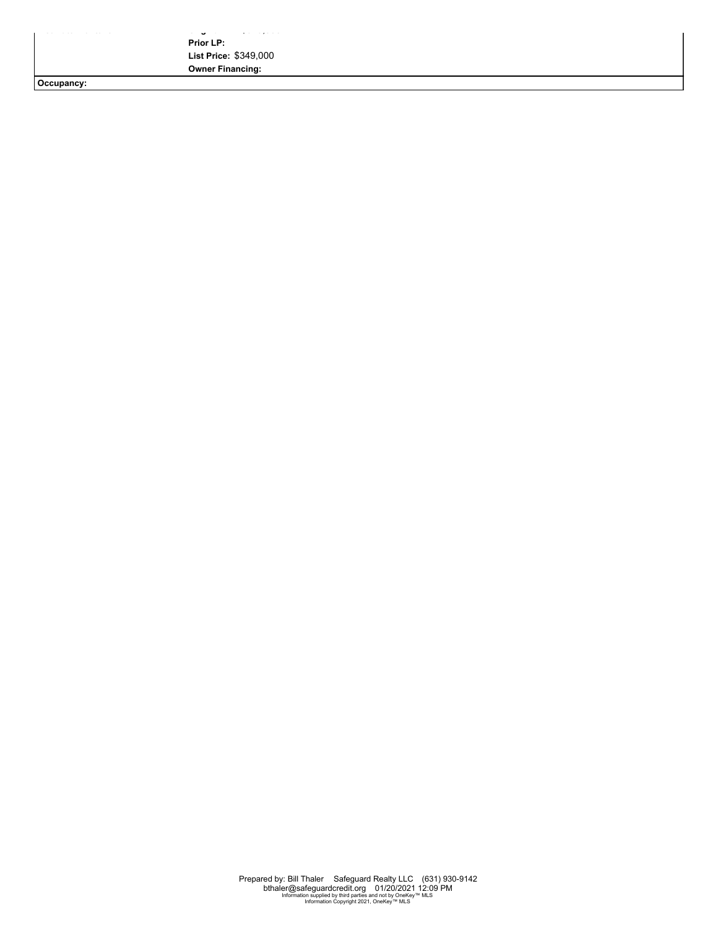**List Date:** 1/20/2021 **Original LP:** \$349,000 **Prior LP: List Price:** \$349,000 **Owner Financing:**

**Occupancy:**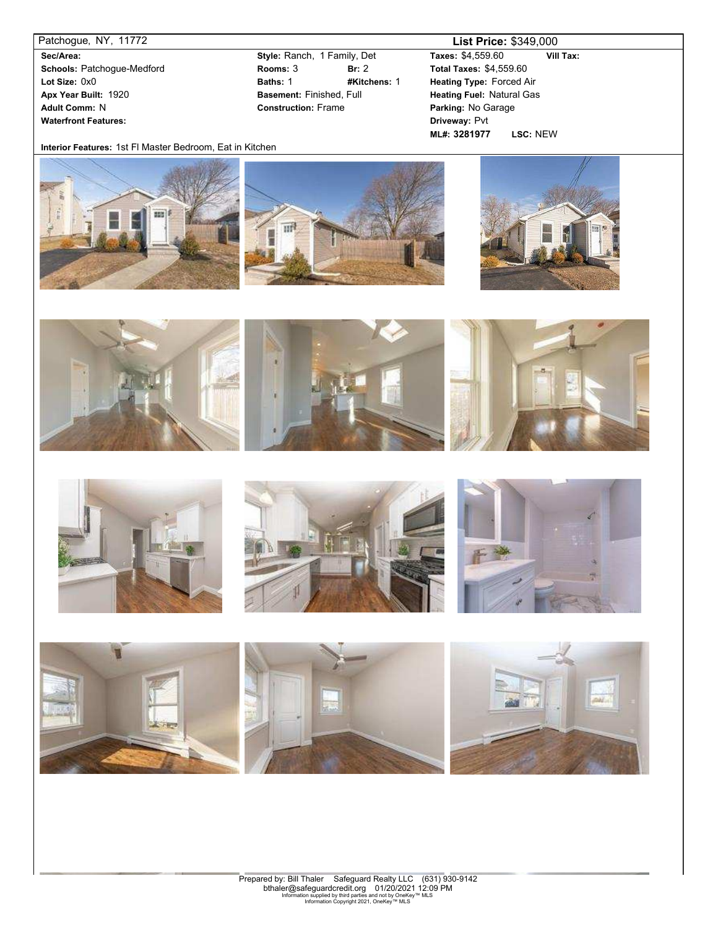**Sec/Area: Schools:** Patchogue-Medford **Lot Size:** 0x0 **Apx Year Built:** 1920 **Adult Comm:** N **Waterfront Features:**

**Rooms:** 3 **Br:** 2 **Baths:** 1 **#Kitchens:** 1 **Style:** Ranch, 1 Family, Det **Basement:** Finished, Full **Construction:** Frame

## Patchogue, NY, 11772 **List Price:** \$349,000

**Taxes:** \$4,559.60 **Vill Tax: ML#: 3281977 LSC:** NEW **Total Taxes:** \$4,559.60 **Heating Type:** Forced Air **Heating Fuel:** Natural Gas **Parking:** No Garage **Driveway:** Pvt

**Interior Features:** 1st Fl Master Bedroom, Eat in Kitchen